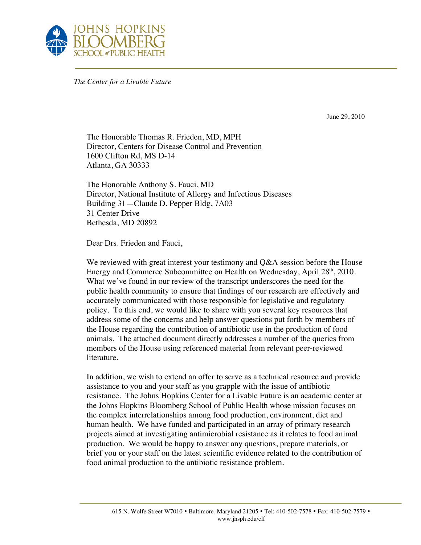

*The Center for a Livable Future*

June 29, 2010

The Honorable Thomas R. Frieden, MD, MPH Director, Centers for Disease Control and Prevention 1600 Clifton Rd, MS D-14 Atlanta, GA 30333

The Honorable Anthony S. Fauci, MD Director, National Institute of Allergy and Infectious Diseases Building 31—Claude D. Pepper Bldg, 7A03 31 Center Drive Bethesda, MD 20892

Dear Drs. Frieden and Fauci,

We reviewed with great interest your testimony and Q&A session before the House Energy and Commerce Subcommittee on Health on Wednesday, April  $28<sup>th</sup>$ , 2010. What we've found in our review of the transcript underscores the need for the public health community to ensure that findings of our research are effectively and accurately communicated with those responsible for legislative and regulatory policy. To this end, we would like to share with you several key resources that address some of the concerns and help answer questions put forth by members of the House regarding the contribution of antibiotic use in the production of food animals. The attached document directly addresses a number of the queries from members of the House using referenced material from relevant peer-reviewed literature.

In addition, we wish to extend an offer to serve as a technical resource and provide assistance to you and your staff as you grapple with the issue of antibiotic resistance. The Johns Hopkins Center for a Livable Future is an academic center at the Johns Hopkins Bloomberg School of Public Health whose mission focuses on the complex interrelationships among food production, environment, diet and human health. We have funded and participated in an array of primary research projects aimed at investigating antimicrobial resistance as it relates to food animal production. We would be happy to answer any questions, prepare materials, or brief you or your staff on the latest scientific evidence related to the contribution of food animal production to the antibiotic resistance problem.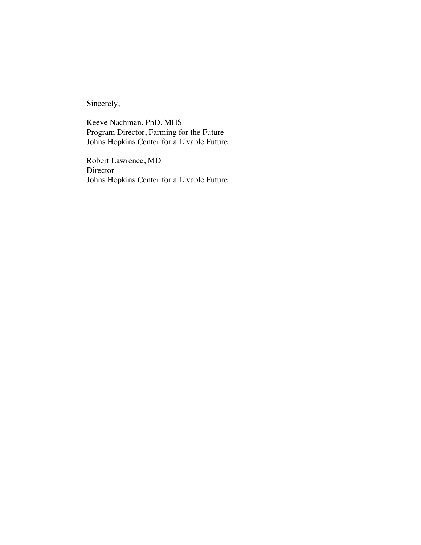Sincerely,

Keeve Nachman, PhD, MHS Program Director, Farming for the Future Johns Hopkins Center for a Livable Future

Robert Lawrence, MD Director Johns Hopkins Center for a Livable Future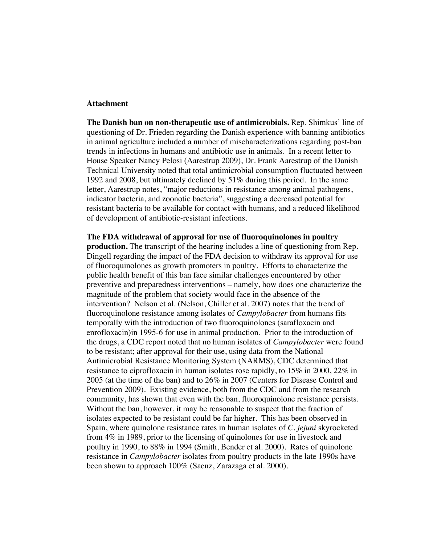## **Attachment**

**The Danish ban on non-therapeutic use of antimicrobials.** Rep. Shimkus' line of questioning of Dr. Frieden regarding the Danish experience with banning antibiotics in animal agriculture included a number of mischaracterizations regarding post-ban trends in infections in humans and antibiotic use in animals. In a recent letter to House Speaker Nancy Pelosi (Aarestrup 2009), Dr. Frank Aarestrup of the Danish Technical University noted that total antimicrobial consumption fluctuated between 1992 and 2008, but ultimately declined by 51% during this period. In the same letter, Aarestrup notes, "major reductions in resistance among animal pathogens, indicator bacteria, and zoonotic bacteria", suggesting a decreased potential for resistant bacteria to be available for contact with humans, and a reduced likelihood of development of antibiotic-resistant infections.

**The FDA withdrawal of approval for use of fluoroquinolones in poultry production.** The transcript of the hearing includes a line of questioning from Rep. Dingell regarding the impact of the FDA decision to withdraw its approval for use of fluoroquinolones as growth promoters in poultry. Efforts to characterize the public health benefit of this ban face similar challenges encountered by other preventive and preparedness interventions – namely, how does one characterize the magnitude of the problem that society would face in the absence of the intervention? Nelson et al. (Nelson, Chiller et al. 2007) notes that the trend of fluoroquinolone resistance among isolates of *Campylobacter* from humans fits temporally with the introduction of two fluoroquinolones (sarafloxacin and enrofloxacin)in 1995-6 for use in animal production. Prior to the introduction of the drugs, a CDC report noted that no human isolates of *Campylobacter* were found to be resistant; after approval for their use, using data from the National Antimicrobial Resistance Monitoring System (NARMS), CDC determined that resistance to ciprofloxacin in human isolates rose rapidly, to 15% in 2000, 22% in 2005 (at the time of the ban) and to 26% in 2007 (Centers for Disease Control and Prevention 2009). Existing evidence, both from the CDC and from the research community, has shown that even with the ban, fluoroquinolone resistance persists. Without the ban, however, it may be reasonable to suspect that the fraction of isolates expected to be resistant could be far higher. This has been observed in Spain, where quinolone resistance rates in human isolates of *C. jejuni* skyrocketed from 4% in 1989, prior to the licensing of quinolones for use in livestock and poultry in 1990, to 88% in 1994 (Smith, Bender et al. 2000). Rates of quinolone resistance in *Campylobacter* isolates from poultry products in the late 1990s have been shown to approach 100% (Saenz, Zarazaga et al. 2000).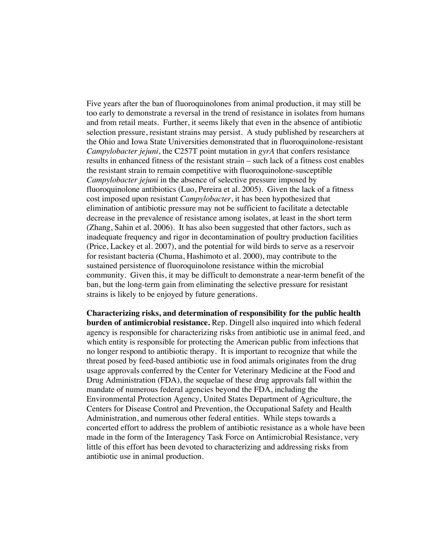Five years after the ban of fluoroquinolones from animal production, it may still be too early to demonstrate a reversal in the trend of resistance in isolates from humans and from retail meats. Further, it seems likely that even in the absence of antibiotic selection pressure, resistant strains may persist. A study published by researchers at the Ohio and Iowa State Universities demonstrated that in fluoroquinolone-resistant *Campylobacter jejuni*, the C257T point mutation in *gyrA* that confers resistance results in enhanced fitness of the resistant strain – such lack of a fitness cost enables the resistant strain to remain competitive with fluoroquinolone-susceptible *Campylobacter jejuni* in the absence of selective pressure imposed by fluoroquinolone antibiotics (Luo, Pereira et al. 2005). Given the lack of a fitness cost imposed upon resistant *Campylobacter*, it has been hypothesized that elimination of antibiotic pressure may not be sufficient to facilitate a detectable decrease in the prevalence of resistance among isolates, at least in the short term (Zhang, Sahin et al. 2006). It has also been suggested that other factors, such as inadequate frequency and rigor in decontamination of poultry production facilities (Price, Lackey et al. 2007), and the potential for wild birds to serve as a reservoir for resistant bacteria (Chuma, Hashimoto et al. 2000), may contribute to the sustained persistence of fluoroquinolone resistance within the microbial community. Given this, it may be difficult to demonstrate a near-term benefit of the ban, but the long-term gain from eliminating the selective pressure for resistant strains is likely to be enjoyed by future generations.

**Characterizing risks, and determination of responsibility for the public health burden of antimicrobial resistance.** Rep. Dingell also inquired into which federal agency is responsible for characterizing risks from antibiotic use in animal feed, and which entity is responsible for protecting the American public from infections that no longer respond to antibiotic therapy. It is important to recognize that while the threat posed by feed-based antibiotic use in food animals originates from the drug usage approvals conferred by the Center for Veterinary Medicine at the Food and Drug Administration (FDA), the sequelae of these drug approvals fall within the mandate of numerous federal agencies beyond the FDA, including the Environmental Protection Agency, United States Department of Agriculture, the Centers for Disease Control and Prevention, the Occupational Safety and Health Administration, and numerous other federal entities. While steps towards a concerted effort to address the problem of antibiotic resistance as a whole have been made in the form of the Interagency Task Force on Antimicrobial Resistance, very little of this effort has been devoted to characterizing and addressing risks from antibiotic use in animal production.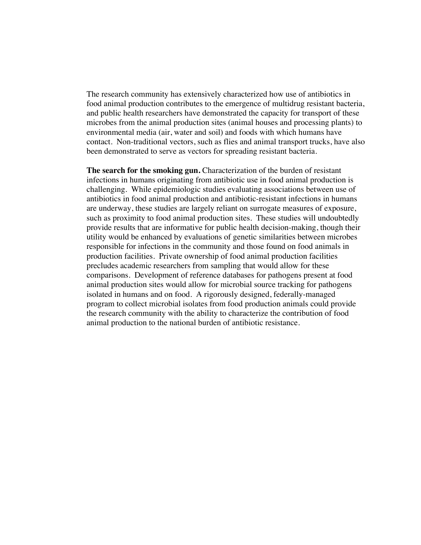The research community has extensively characterized how use of antibiotics in food animal production contributes to the emergence of multidrug resistant bacteria, and public health researchers have demonstrated the capacity for transport of these microbes from the animal production sites (animal houses and processing plants) to environmental media (air, water and soil) and foods with which humans have contact. Non-traditional vectors, such as flies and animal transport trucks, have also been demonstrated to serve as vectors for spreading resistant bacteria.

**The search for the smoking gun.** Characterization of the burden of resistant infections in humans originating from antibiotic use in food animal production is challenging. While epidemiologic studies evaluating associations between use of antibiotics in food animal production and antibiotic-resistant infections in humans are underway, these studies are largely reliant on surrogate measures of exposure, such as proximity to food animal production sites. These studies will undoubtedly provide results that are informative for public health decision-making, though their utility would be enhanced by evaluations of genetic similarities between microbes responsible for infections in the community and those found on food animals in production facilities. Private ownership of food animal production facilities precludes academic researchers from sampling that would allow for these comparisons. Development of reference databases for pathogens present at food animal production sites would allow for microbial source tracking for pathogens isolated in humans and on food. A rigorously designed, federally-managed program to collect microbial isolates from food production animals could provide the research community with the ability to characterize the contribution of food animal production to the national burden of antibiotic resistance.